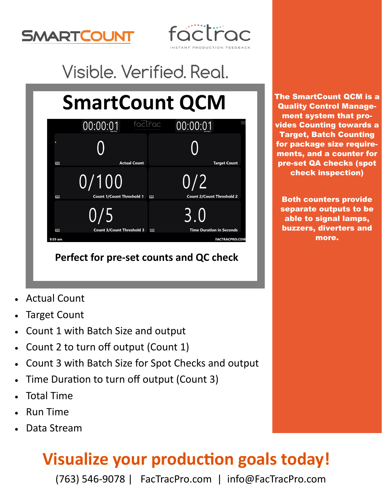



## Visible. Verified. Real.

# **SmartCount QCM**

|         | factrac<br>00:00:01                       | 00:00:01                                                                                       |
|---------|-------------------------------------------|------------------------------------------------------------------------------------------------|
|         |                                           |                                                                                                |
| T       | <b>Actual Count</b>                       | <b>Target Count</b>                                                                            |
|         | 0/100<br><b>Count 1/Count Threshold 1</b> | 0/2                                                                                            |
| 圈<br>圈  | 0/5<br><b>Count 3/Count Threshold 3</b>   | <b>Count 2/Count Threshold 2</b><br>  <br>5.0<br><b>Time Duration in Seconds</b><br><b>FOR</b> |
| 9:59 am |                                           | <b>FACTRACPRO.COM</b>                                                                          |

### **Perfect for pre-set counts and QC check**

- Actual Count
- Target Count
- Count 1 with Batch Size and output
- Count 2 to turn off output (Count 1)
- Count 3 with Batch Size for Spot Checks and output
- Time Duration to turn off output (Count 3)
- Total Time
- Run Time
- Data Stream

### **Visualize your production goals today!**

(763) 546-9078 | FacTracPro.com | info@FacTracPro.com

The SmartCount QCM is a Quality Control Management system that provides Counting towards a Target, Batch Counting for package size requirements, and a counter for pre-set QA checks (spot check inspection)

Both counters provide separate outputs to be able to signal lamps, buzzers, diverters and more.